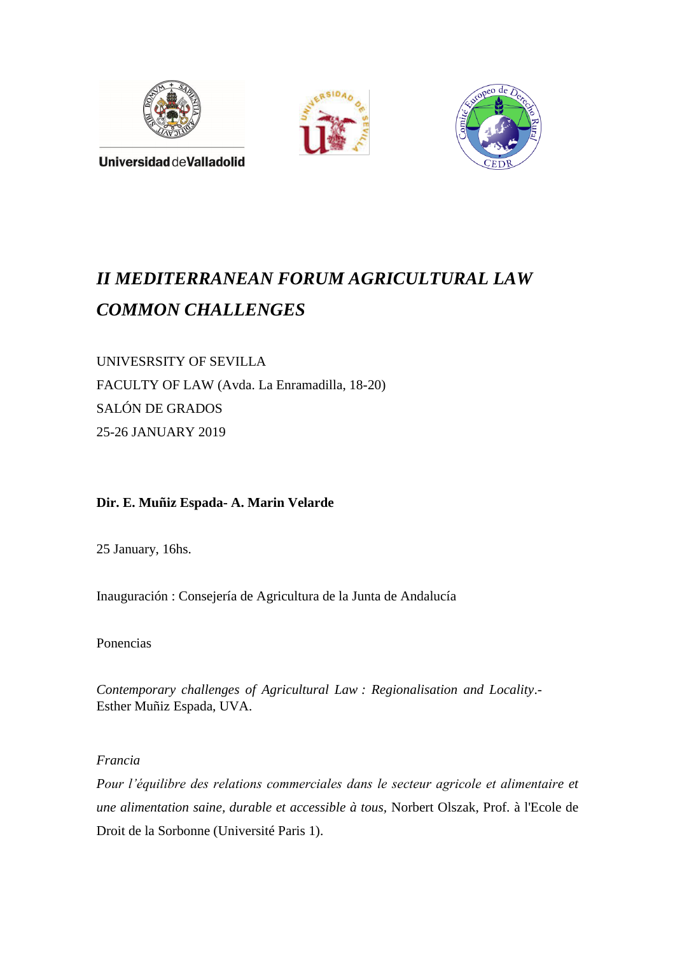





Universidad deValladolid

# *II MEDITERRANEAN FORUM AGRICULTURAL LAW COMMON CHALLENGES*

UNIVESRSITY OF SEVILLA FACULTY OF LAW (Avda. La Enramadilla, 18-20) SALÓN DE GRADOS 25-26 JANUARY 2019

## **Dir. E. Muñiz Espada- A. Marin Velarde**

25 January, 16hs.

Inauguración : Consejería de Agricultura de la Junta de Andalucía

Ponencias

*Contemporary challenges of Agricultural Law : Regionalisation and Locality*.- Esther Muñiz Espada, UVA.

*Francia*

*Pour l'équilibre des relations commerciales dans le secteur agricole et alimentaire et une alimentation saine, durable et accessible à tous,* Norbert Olszak, Prof. à l'Ecole de Droit de la Sorbonne (Université Paris 1).